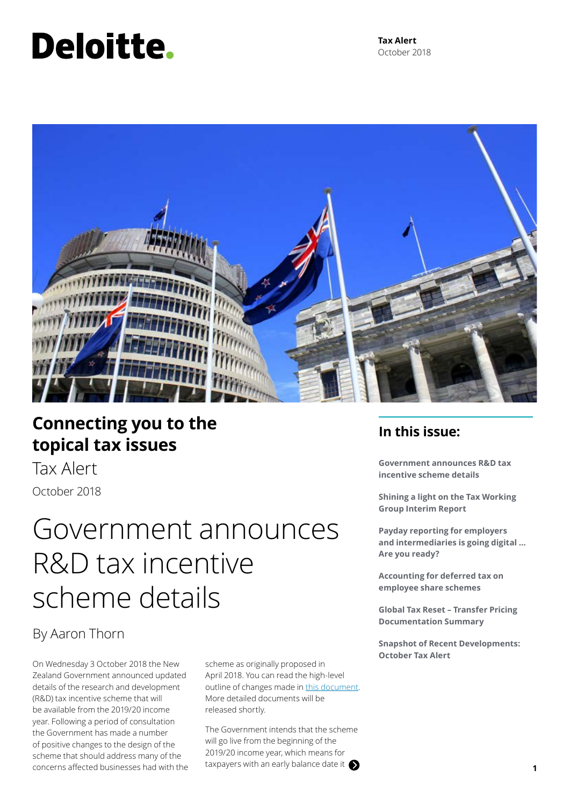# Deloitte.

**Tax Alert** October 2018



### **Connecting you to the topical tax issues**

Tax Alert October 2018

### Government announces R&D tax incentive scheme details

### By Aaron Thorn

On Wednesday 3 October 2018 the New Zealand Government announced updated details of the research and development (R&D) tax incentive scheme that will be available from the 2019/20 income year. Following a period of consultation the Government has made a number of positive changes to the design of the scheme that should address many of the concerns affected businesses had with the scheme as originally proposed in April 2018. You can read the high-level outline of changes made in [this document.](https://www.mbie.govt.nz/info-services/science-innovation/funding-info-opportunities/rd-tax-incentive/pdf-and-document-library/comparison-with-discussion-document.pdf) More detailed documents will be released shortly.

The Government intends that the scheme will go live from the beginning of the 2019/20 income year, which means for taxpayers with an early balance date it **1 1** 

### **In this issue:**

**Government announces R&D tax incentive scheme details**

**Shining a light on the Tax Working Group Interim Report**

**Payday reporting for employers and intermediaries is going digital … Are you ready?**

**Accounting for deferred tax on employee share schemes**

**Global Tax Reset – Transfer Pricing Documentation Summary**

**Snapshot of Recent Developments: October Tax Alert**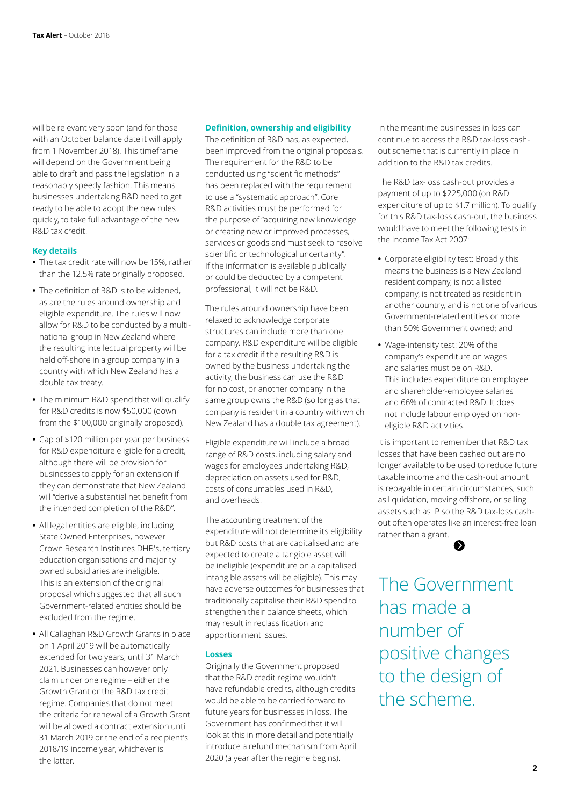will be relevant very soon (and for those with an October balance date it will apply from 1 November 2018). This timeframe will depend on the Government being able to draft and pass the legislation in a reasonably speedy fashion. This means businesses undertaking R&D need to get ready to be able to adopt the new rules quickly, to take full advantage of the new R&D tax credit.

#### **Key details**

- **•** The tax credit rate will now be 15%, rather than the 12.5% rate originally proposed.
- **•** The definition of R&D is to be widened, as are the rules around ownership and eligible expenditure. The rules will now allow for R&D to be conducted by a multinational group in New Zealand where the resulting intellectual property will be held off-shore in a group company in a country with which New Zealand has a double tax treaty.
- **•** The minimum R&D spend that will qualify for R&D credits is now \$50,000 (down from the \$100,000 originally proposed).
- **•** Cap of \$120 million per year per business for R&D expenditure eligible for a credit, although there will be provision for businesses to apply for an extension if they can demonstrate that New Zealand will "derive a substantial net benefit from the intended completion of the R&D".
- **•** All legal entities are eligible, including State Owned Enterprises, however Crown Research Institutes DHB's, tertiary education organisations and majority owned subsidiaries are ineligible. This is an extension of the original proposal which suggested that all such Government-related entities should be excluded from the regime.
- **•** All Callaghan R&D Growth Grants in place on 1 April 2019 will be automatically extended for two years, until 31 March 2021. Businesses can however only claim under one regime – either the Growth Grant or the R&D tax credit regime. Companies that do not meet the criteria for renewal of a Growth Grant will be allowed a contract extension until 31 March 2019 or the end of a recipient's 2018/19 income year, whichever is the latter.

#### **Definition, ownership and eligibility**

The definition of R&D has, as expected, been improved from the original proposals. The requirement for the R&D to be conducted using "scientific methods" has been replaced with the requirement to use a "systematic approach". Core R&D activities must be performed for the purpose of "acquiring new knowledge or creating new or improved processes, services or goods and must seek to resolve scientific or technological uncertainty". If the information is available publically or could be deducted by a competent professional, it will not be R&D.

The rules around ownership have been relaxed to acknowledge corporate structures can include more than one company. R&D expenditure will be eligible for a tax credit if the resulting R&D is owned by the business undertaking the activity, the business can use the R&D for no cost, or another company in the same group owns the R&D (so long as that company is resident in a country with which New Zealand has a double tax agreement).

Eligible expenditure will include a broad range of R&D costs, including salary and wages for employees undertaking R&D, depreciation on assets used for R&D, costs of consumables used in R&D, and overheads.

The accounting treatment of the expenditure will not determine its eligibility but R&D costs that are capitalised and are expected to create a tangible asset will be ineligible (expenditure on a capitalised intangible assets will be eligible). This may have adverse outcomes for businesses that traditionally capitalise their R&D spend to strengthen their balance sheets, which may result in reclassification and apportionment issues.

#### **Losses**

Originally the Government proposed that the R&D credit regime wouldn't have refundable credits, although credits would be able to be carried forward to future years for businesses in loss. The Government has confirmed that it will look at this in more detail and potentially introduce a refund mechanism from April 2020 (a year after the regime begins).

In the meantime businesses in loss can continue to access the R&D tax-loss cashout scheme that is currently in place in addition to the R&D tax credits.

The R&D tax-loss cash-out provides a payment of up to \$225,000 (on R&D expenditure of up to \$1.7 million). To qualify for this R&D tax-loss cash-out, the business would have to meet the following tests in the Income Tax Act 2007:

- **•** Corporate eligibility test: Broadly this means the business is a New Zealand resident company, is not a listed company, is not treated as resident in another country, and is not one of various Government-related entities or more than 50% Government owned; and
- **•** Wage-intensity test: 20% of the company's expenditure on wages and salaries must be on R&D. This includes expenditure on employee and shareholder-employee salaries and 66% of contracted R&D. It does not include labour employed on noneligible R&D activities.

It is important to remember that R&D tax losses that have been cashed out are no longer available to be used to reduce future taxable income and the cash-out amount is repayable in certain circumstances, such as liquidation, moving offshore, or selling assets such as IP so the R&D tax-loss cashout often operates like an interest-free loan rather than a grant.

The Government has made a number of positive changes to the design of the scheme.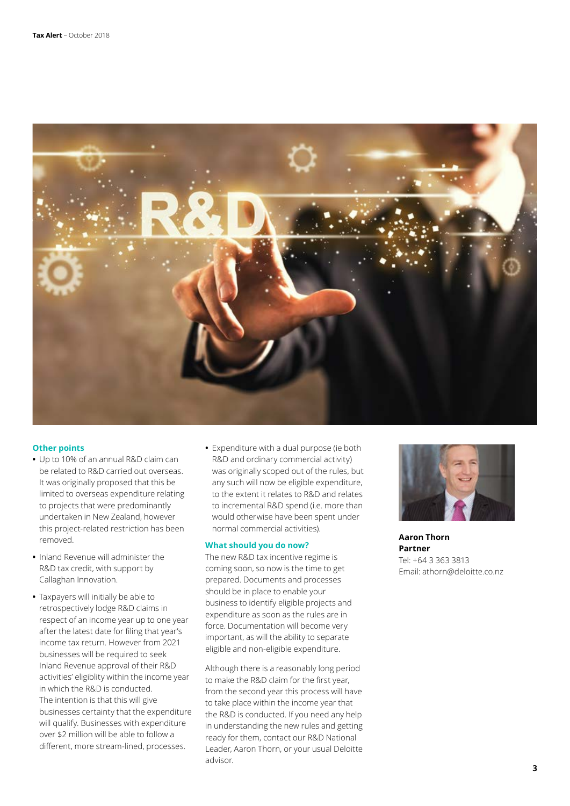

#### **Other points**

- **•** Up to 10% of an annual R&D claim can be related to R&D carried out overseas. It was originally proposed that this be limited to overseas expenditure relating to projects that were predominantly undertaken in New Zealand, however this project-related restriction has been removed.
- **•** Inland Revenue will administer the R&D tax credit, with support by Callaghan Innovation.
- **•** Taxpayers will initially be able to retrospectively lodge R&D claims in respect of an income year up to one year after the latest date for filing that year's income tax return. However from 2021 businesses will be required to seek Inland Revenue approval of their R&D activities' eligiblity within the income year in which the R&D is conducted. The intention is that this will give businesses certainty that the expenditure will qualify. Businesses with expenditure over \$2 million will be able to follow a different, more stream-lined, processes.
- **•** Expenditure with a dual purpose (ie both R&D and ordinary commercial activity) was originally scoped out of the rules, but any such will now be eligible expenditure, to the extent it relates to R&D and relates to incremental R&D spend (i.e. more than would otherwise have been spent under normal commercial activities).

#### **What should you do now?**

The new R&D tax incentive regime is coming soon, so now is the time to get prepared. Documents and processes should be in place to enable your business to identify eligible projects and expenditure as soon as the rules are in force. Documentation will become very important, as will the ability to separate eligible and non-eligible expenditure.

Although there is a reasonably long period to make the R&D claim for the first year, from the second year this process will have to take place within the income year that the R&D is conducted. If you need any help in understanding the new rules and getting ready for them, contact our R&D National Leader, Aaron Thorn, or your usual Deloitte advisor.



**Aaron Thorn Partner** Tel: +64 3 363 3813 Email: athorn@deloitte.co.nz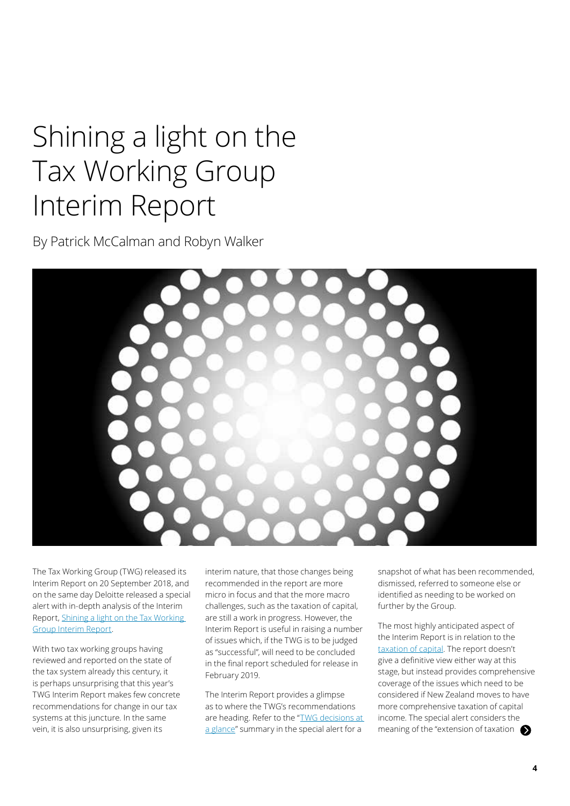## Shining a light on the Tax Working Group Interim Report

By Patrick McCalman and Robyn Walker



The Tax Working Group (TWG) released its Interim Report on 20 September 2018, and on the same day Deloitte released a special alert with in-depth analysis of the Interim Report, [Shining a light on the Tax Working](https://www2.deloitte.com/nz/en/pages/tax-working-group/topics/tax-working-group.html)  [Group Interim Report.](https://www2.deloitte.com/nz/en/pages/tax-working-group/topics/tax-working-group.html)

With two tax working groups having reviewed and reported on the state of the tax system already this century, it is perhaps unsurprising that this year's TWG Interim Report makes few concrete recommendations for change in our tax systems at this juncture. In the same vein, it is also unsurprising, given its

interim nature, that those changes being recommended in the report are more micro in focus and that the more macro challenges, such as the taxation of capital, are still a work in progress. However, the Interim Report is useful in raising a number of issues which, if the TWG is to be judged as "successful", will need to be concluded in the final report scheduled for release in February 2019.

The Interim Report provides a glimpse as to where the TWG's recommendations are heading. Refer to the "[TWG decisions at](https://www2.deloitte.com/nz/en/pages/tax-working-group/articles/infographic.html)  [a glance"](https://www2.deloitte.com/nz/en/pages/tax-working-group/articles/infographic.html) summary in the special alert for a

snapshot of what has been recommended, dismissed, referred to someone else or identified as needing to be worked on further by the Group.

The most highly anticipated aspect of the Interim Report is in relation to the [taxation of capital](https://www2.deloitte.com/nz/en/pages/tax-working-group/articles/capital-and-wealth.html). The report doesn't give a definitive view either way at this stage, but instead provides comprehensive coverage of the issues which need to be considered if New Zealand moves to have more comprehensive taxation of capital income. The special alert considers the meaning of the "extension of taxation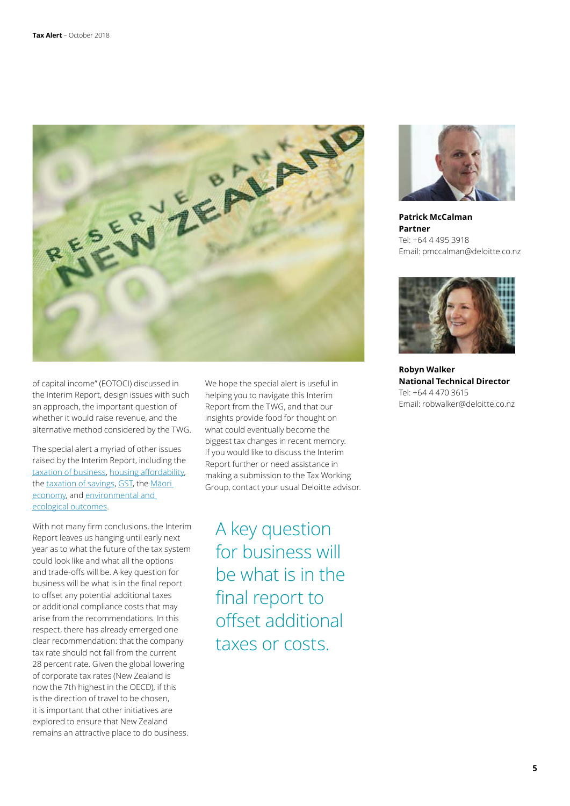

of capital income" (EOTOCI) discussed in the Interim Report, design issues with such an approach, the important question of whether it would raise revenue, and the alternative method considered by the TWG.

The special alert a myriad of other issues raised by the Interim Report, including the [taxation of business,](https://www2.deloitte.com/nz/en/pages/tax-working-group/articles/business-tax.html) [housing affordability](https://www2.deloitte.com/nz/en/pages/tax-working-group/articles/housing-affordability.html), the [taxation of savings,](https://www2.deloitte.com/nz/en/pages/tax-working-group/articles/taxation-of-savings.html) [GST,](https://www2.deloitte.com/nz/en/pages/tax-working-group/articles/gst.html) the Māori [economy,](https://www2.deloitte.com/nz/en/pages/tax-working-group/articles/maori-economy.html) and [environmental and](https://www2.deloitte.com/nz/en/pages/tax-working-group/articles/environmental-and-ecological-outcomes.html)  [ecological outcomes.](https://www2.deloitte.com/nz/en/pages/tax-working-group/articles/environmental-and-ecological-outcomes.html)

With not many firm conclusions, the Interim Report leaves us hanging until early next year as to what the future of the tax system could look like and what all the options and trade-offs will be. A key question for business will be what is in the final report to offset any potential additional taxes or additional compliance costs that may arise from the recommendations. In this respect, there has already emerged one clear recommendation: that the company tax rate should not fall from the current 28 percent rate. Given the global lowering of corporate tax rates (New Zealand is now the 7th highest in the OECD), if this is the direction of travel to be chosen, it is important that other initiatives are explored to ensure that New Zealand remains an attractive place to do business.

We hope the special alert is useful in helping you to navigate this Interim Report from the TWG, and that our insights provide food for thought on what could eventually become the biggest tax changes in recent memory. If you would like to discuss the Interim Report further or need assistance in making a submission to the Tax Working Group, contact your usual Deloitte advisor.

A key question for business will be what is in the final report to offset additional taxes or costs.



**Patrick McCalman Partner** Tel: +64 4 495 3918 Email: pmccalman@deloitte.co.nz



**Robyn Walker National Technical Director** Tel: +64 4 470 3615 Email: robwalker@deloitte.co.nz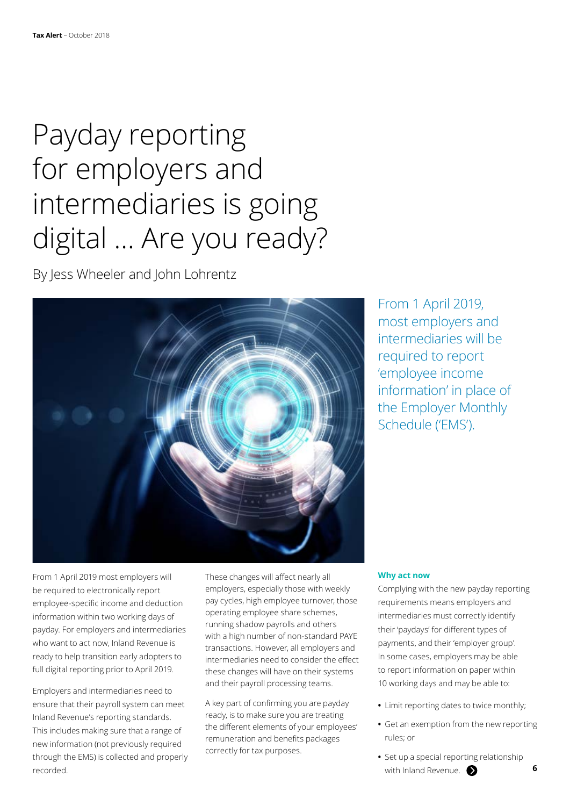## Payday reporting for employers and intermediaries is going digital … Are you ready?

By Jess Wheeler and John Lohrentz



From 1 April 2019, most employers and intermediaries will be required to report 'employee income information' in place of the Employer Monthly Schedule ('EMS').

From 1 April 2019 most employers will be required to electronically report employee-specific income and deduction information within two working days of payday. For employers and intermediaries who want to act now, Inland Revenue is ready to help transition early adopters to full digital reporting prior to April 2019.

Employers and intermediaries need to ensure that their payroll system can meet Inland Revenue's reporting standards. This includes making sure that a range of new information (not previously required through the EMS) is collected and properly recorded.

These changes will affect nearly all employers, especially those with weekly pay cycles, high employee turnover, those operating employee share schemes, running shadow payrolls and others with a high number of non-standard PAYE transactions. However, all employers and intermediaries need to consider the effect these changes will have on their systems and their payroll processing teams.

A key part of confirming you are payday ready, is to make sure you are treating the different elements of your employees' remuneration and benefits packages correctly for tax purposes.

#### **Why act now**

Complying with the new payday reporting requirements means employers and intermediaries must correctly identify their 'paydays' for different types of payments, and their 'employer group'. In some cases, employers may be able to report information on paper within 10 working days and may be able to:

- **•** Limit reporting dates to twice monthly;
- **•** Get an exemption from the new reporting rules; or
- **•** Set up a special reporting relationship with Inland Revenue.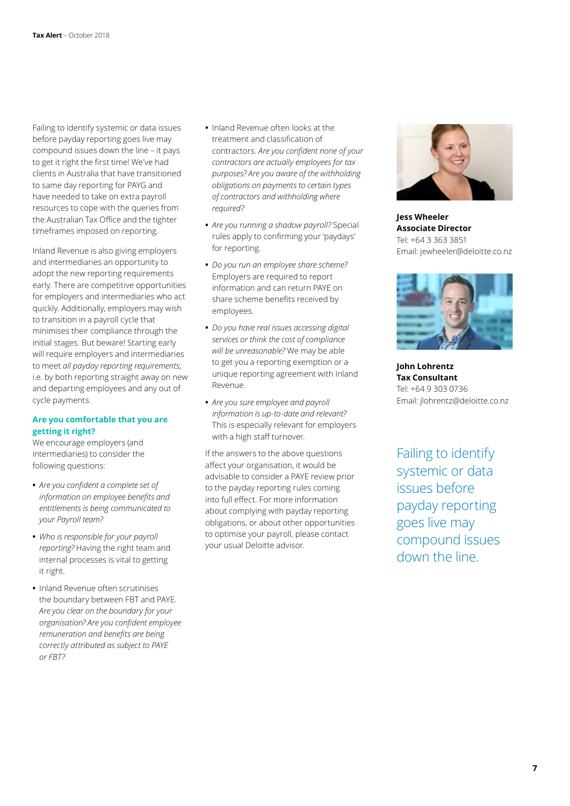Failing to identify systemic or data issues before payday reporting goes live may compound issues down the line – it pays to get it right the first time! We've had clients in Australia that have transitioned to same day reporting for PAYG and have needed to take on extra payroll resources to cope with the queries from the Australian Tax Office and the tighter timeframes imposed on reporting.

Inland Revenue is also giving employers and intermediaries an opportunity to adopt the new reporting requirements early. There are competitive opportunities for employers and intermediaries who act quickly. Additionally, employers may wish to transition in a payroll cycle that minimises their compliance through the initial stages. But beware! Starting early will require employers and intermediaries to meet *all payday reporting requirements*, i.e. by both reporting straight away on new and departing employees and any out of cycle payments.

#### **Are you comfortable that you are getting it right?**

We encourage employers (and intermediaries) to consider the following questions:

- **•** *Are you confident a complete set of information on employee benefits and entitlements is being communicated to your Payroll team?*
- **•** *Who is responsible for your payroll reporting?* Having the right team and internal processes is vital to getting it right.
- **•** Inland Revenue often scrutinises the boundary between FBT and PAYE. *Are you clear on the boundary for your organisation? Are you confident employee remuneration and benefits are being correctly attributed as subject to PAYE or FBT?*
- **•** Inland Revenue often looks at the treatment and classification of contractors. *Are you confident none of your contractors are actually employees for tax purposes? Are you aware of the withholding obligations on payments to certain types of contractors and withholding where required?*
- **•** *Are you running a shadow payroll?* Special rules apply to confirming your 'paydays' for reporting.
- **•** *Do you run an employee share scheme?*  Employers are required to report information and can return PAYE on share scheme benefits received by employees.
- **•** *Do you have real issues accessing digital services or think the cost of compliance will be unreasonable?* We may be able to get you a reporting exemption or a unique reporting agreement with Inland Revenue.
- **•** *Are you sure employee and payroll information is up-to-date and relevant?*  This is especially relevant for employers with a high staff turnover.

If the answers to the above questions affect your organisation, it would be advisable to consider a PAYE review prior to the payday reporting rules coming into full effect. For more information about complying with payday reporting obligations, or about other opportunities to optimise your payroll, please contact your usual Deloitte advisor.



**Jess Wheeler Associate Director** Tel: +64 3 363 3851 Email: jewheeler@deloitte.co.nz



**John Lohrentz Tax Consultant** Tel: +64 9 303 0736 Email: jlohrentz@deloitte.co.nz

Failing to identify systemic or data issues before payday reporting goes live may compound issues down the line.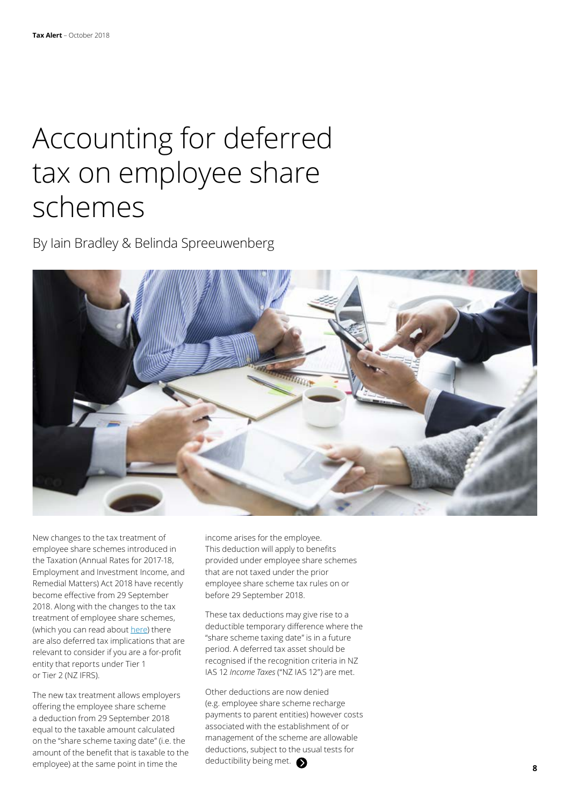## Accounting for deferred tax on employee share schemes

By Iain Bradley & Belinda Spreeuwenberg



New changes to the tax treatment of employee share schemes introduced in the Taxation (Annual Rates for 2017-18, Employment and Investment Income, and Remedial Matters) Act 2018 have recently become effective from 29 September 2018. Along with the changes to the tax treatment of employee share schemes, (which you can read about [here\)](https://www2.deloitte.com/nz/en/pages/tax-alerts/articles/employee-share-schemes-its-time-to-act.html) there are also deferred tax implications that are relevant to consider if you are a for-profit entity that reports under Tier 1 or Tier 2 (NZ IFRS).

The new tax treatment allows employers offering the employee share scheme a deduction from 29 September 2018 equal to the taxable amount calculated on the "share scheme taxing date" (i.e. the amount of the benefit that is taxable to the employee) at the same point in time the

income arises for the employee. This deduction will apply to benefits provided under employee share schemes that are not taxed under the prior employee share scheme tax rules on or before 29 September 2018.

These tax deductions may give rise to a deductible temporary difference where the "share scheme taxing date" is in a future period. A deferred tax asset should be recognised if the recognition criteria in NZ IAS 12 *Income Taxes* ("NZ IAS 12") are met.

Other deductions are now denied (e.g. employee share scheme recharge payments to parent entities) however costs associated with the establishment of or management of the scheme are allowable deductions, subject to the usual tests for deductibility being met.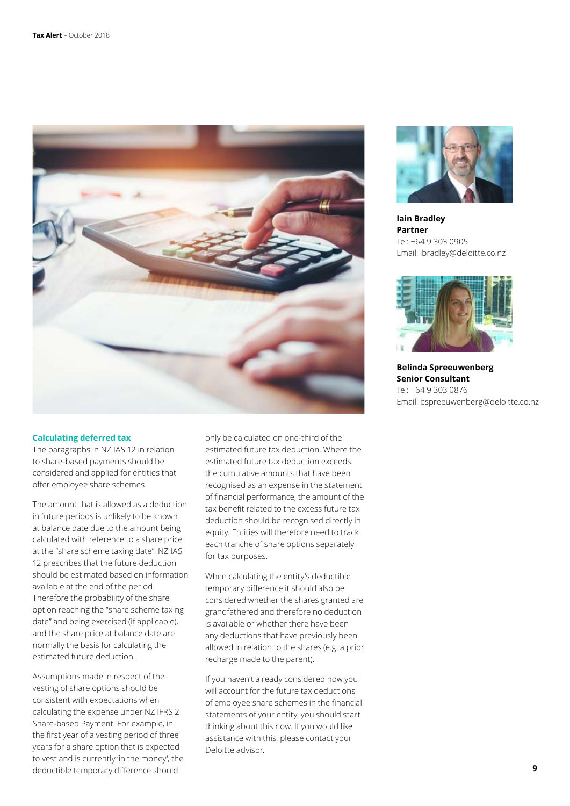

#### **Calculating deferred tax**

The paragraphs in NZ IAS 12 in relation to share-based payments should be considered and applied for entities that offer employee share schemes.

The amount that is allowed as a deduction in future periods is unlikely to be known at balance date due to the amount being calculated with reference to a share price at the "share scheme taxing date". NZ IAS 12 prescribes that the future deduction should be estimated based on information available at the end of the period. Therefore the probability of the share option reaching the "share scheme taxing date" and being exercised (if applicable), and the share price at balance date are normally the basis for calculating the estimated future deduction.

Assumptions made in respect of the vesting of share options should be consistent with expectations when calculating the expense under NZ IFRS 2 Share-based Payment. For example, in the first year of a vesting period of three years for a share option that is expected to vest and is currently 'in the money', the deductible temporary difference should

only be calculated on one-third of the estimated future tax deduction. Where the estimated future tax deduction exceeds the cumulative amounts that have been recognised as an expense in the statement of financial performance, the amount of the tax benefit related to the excess future tax deduction should be recognised directly in equity. Entities will therefore need to track each tranche of share options separately for tax purposes.

When calculating the entity's deductible temporary difference it should also be considered whether the shares granted are grandfathered and therefore no deduction is available or whether there have been any deductions that have previously been allowed in relation to the shares (e.g. a prior recharge made to the parent).

If you haven't already considered how you will account for the future tax deductions of employee share schemes in the financial statements of your entity, you should start thinking about this now. If you would like assistance with this, please contact your Deloitte advisor.



**Iain Bradley Partner** Tel: +64 9 303 0905 Email: ibradley@deloitte.co.nz



**Belinda Spreeuwenberg Senior Consultant** Tel: +64 9 303 0876 Email: bspreeuwenberg@deloitte.co.nz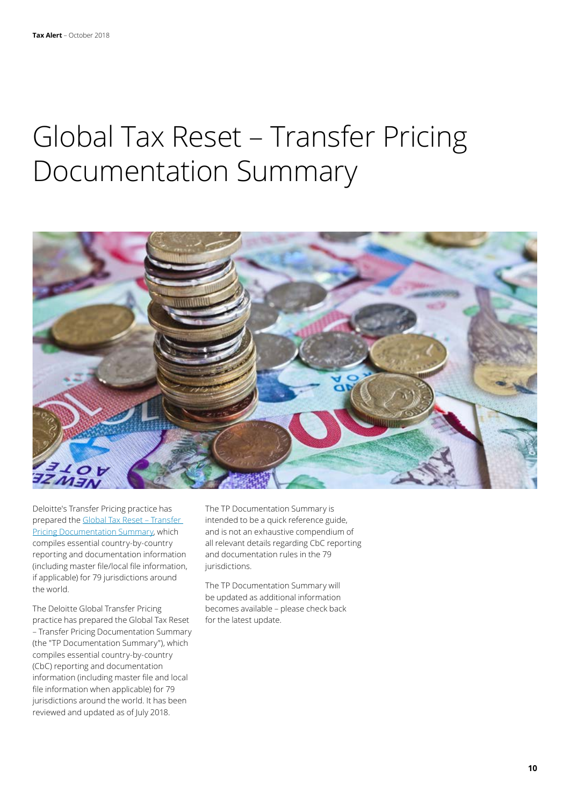## Global Tax Reset – Transfer Pricing Documentation Summary



Deloitte's Transfer Pricing practice has prepared the [Global Tax Reset – Transfer](https://www2.deloitte.com/content/dam/Deloitte/global/Documents/Tax/dttl-global-tax-reset-transfer-pricing-documentation-summary.pdf)  [Pricing Documentation Summary](https://www2.deloitte.com/content/dam/Deloitte/global/Documents/Tax/dttl-global-tax-reset-transfer-pricing-documentation-summary.pdf), which compiles essential country-by-country reporting and documentation information (including master file/local file information, if applicable) for 79 jurisdictions around the world.

The Deloitte Global Transfer Pricing practice has prepared the Global Tax Reset – Transfer Pricing Documentation Summary (the "TP Documentation Summary"), which compiles essential country-by-country (CbC) reporting and documentation information (including master file and local file information when applicable) for 79 jurisdictions around the world. It has been reviewed and updated as of July 2018.

The TP Documentation Summary is intended to be a quick reference guide, and is not an exhaustive compendium of all relevant details regarding CbC reporting and documentation rules in the 79 jurisdictions.

The TP Documentation Summary will be updated as additional information becomes available – please check back for the latest update.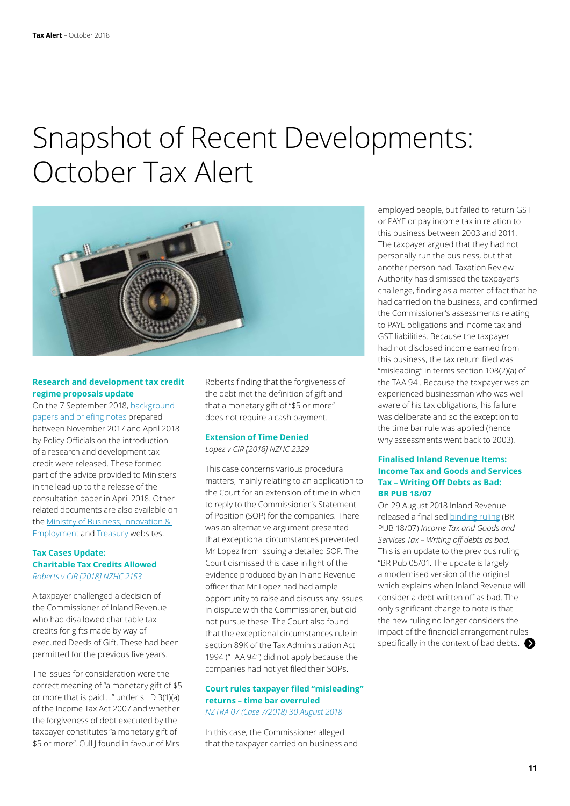### Snapshot of Recent Developments: October Tax Alert



#### **Research and development tax credit regime proposals update**

On the 7 September 2018, [background](http://taxpolicy.ird.govt.nz/publications/2018-other-r-and-d-reports/overview)  [papers and briefing notes](http://taxpolicy.ird.govt.nz/publications/2018-other-r-and-d-reports/overview) prepared between November 2017 and April 2018 by Policy Officials on the introduction of a research and development tax credit were released. These formed part of the advice provided to Ministers in the lead up to the release of the consultation paper in April 2018. Other related documents are also available on the [Ministry of Business, Innovation &](https://www.mbie.govt.nz/info-services/science-innovation/agencies-policies-budget-initiatives/budget-initiatvies)  [Employment](https://www.mbie.govt.nz/info-services/science-innovation/agencies-policies-budget-initiatives/budget-initiatvies) and [Treasury](https://treasury.govt.nz/publications/budgets/budget-2018-information-release) websites.

#### **Tax Cases Update: Charitable Tax Credits Allowed** *[Roberts v CIR \[2018\] NZHC 2153](https://forms.justice.govt.nz/search/Documents/pdf/jdo/cf/alfresco/service/api/node/content/workspace/SpacesStore/d1f78caa-5581-4c95-8d39-ff52262df0e1/d1f78caa-5581-4c95-8d39-ff52262df0e1.pdf)*

A taxpayer challenged a decision of the Commissioner of Inland Revenue who had disallowed charitable tax credits for gifts made by way of executed Deeds of Gift. These had been permitted for the previous five years.

The issues for consideration were the correct meaning of "a monetary gift of \$5 or more that is paid …" under s LD 3(1)(a) of the Income Tax Act 2007 and whether the forgiveness of debt executed by the taxpayer constitutes "a monetary gift of \$5 or more". Cull J found in favour of Mrs

Roberts finding that the forgiveness of the debt met the definition of gift and that a monetary gift of "\$5 or more" does not require a cash payment.

### **Extension of Time Denied**

*Lopez v CIR [2018] NZHC 2329*

This case concerns various procedural matters, mainly relating to an application to the Court for an extension of time in which to reply to the Commissioner's Statement of Position (SOP) for the companies. There was an alternative argument presented that exceptional circumstances prevented Mr Lopez from issuing a detailed SOP. The Court dismissed this case in light of the evidence produced by an Inland Revenue officer that Mr Lopez had had ample opportunity to raise and discuss any issues in dispute with the Commissioner, but did not pursue these. The Court also found that the exceptional circumstances rule in section 89K of the Tax Administration Act 1994 ("TAA 94") did not apply because the companies had not yet filed their SOPs.

#### **Court rules taxpayer filed "misleading" returns – time bar overruled**  *[NZTRA 07 \(Case 7/2018\) 30 August 2018](http://www.nzlii.org/nz/cases/NZTRA/2018/7.html)*

In this case, the Commissioner alleged that the taxpayer carried on business and employed people, but failed to return GST or PAYE or pay income tax in relation to this business between 2003 and 2011. The taxpayer argued that they had not personally run the business, but that another person had. Taxation Review Authority has dismissed the taxpayer's challenge, finding as a matter of fact that he had carried on the business, and confirmed the Commissioner's assessments relating to PAYE obligations and income tax and GST liabilities. Because the taxpayer had not disclosed income earned from this business, the tax return filed was "misleading" in terms section 108(2)(a) of the TAA 94 . Because the taxpayer was an experienced businessman who was well aware of his tax obligations, his failure was deliberate and so the exception to the time bar rule was applied (hence why assessments went back to 2003).

#### **Finalised Inland Revenue Items: Income Tax and Goods and Services Tax – Writing Off Debts as Bad: BR PUB 18/07**

On 29 August 2018 Inland Revenue released a finalised [binding ruling](https://www.ird.govt.nz/resources/0/b/0b2dbd75-a430-478d-8044-0c365ed18cf8/pub00300-august2018.pdf) (BR PUB 18/07) *Income Tax and Goods and Services Tax – Writing off debts as bad*. This is an update to the previous ruling "BR Pub 05/01. The update is largely a modernised version of the original which explains when Inland Revenue will consider a debt written off as bad. The only significant change to note is that the new ruling no longer considers the impact of the financial arrangement rules specifically in the context of bad debts.  $\bullet$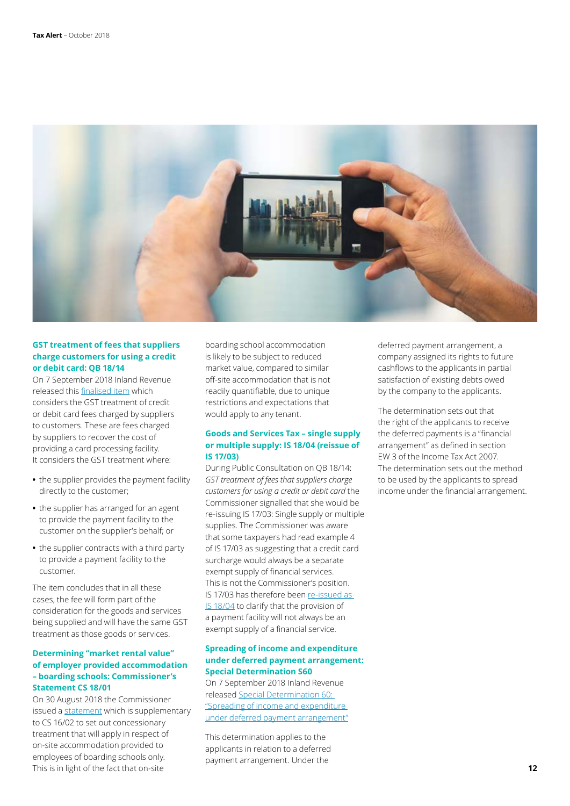

#### **GST treatment of fees that suppliers charge customers for using a credit or debit card: QB 18/14**

On 7 September 2018 Inland Revenue released this [finalised item](https://www.ird.govt.nz/resources/5/2/52fdc0d9-4aa3-4d60-bbf1-a9e4588d83a6/qb18-14.pdf) which considers the GST treatment of credit or debit card fees charged by suppliers to customers. These are fees charged by suppliers to recover the cost of providing a card processing facility. It considers the GST treatment where:

- **•** the supplier provides the payment facility directly to the customer;
- **•** the supplier has arranged for an agent to provide the payment facility to the customer on the supplier's behalf; or
- **•** the supplier contracts with a third party to provide a payment facility to the customer.

The item concludes that in all these cases, the fee will form part of the consideration for the goods and services being supplied and will have the same GST treatment as those goods or services.

#### **Determining "market rental value" of employer provided accommodation – boarding schools: Commissioner's Statement CS 18/01**

On 30 August 2018 the Commissioner issued a [statement](https://www.ird.govt.nz/resources/f/7/f786487c-ad5e-40ec-9fe8-3e7a94c7c2fe/cs1801.pdf) which is supplementary to CS 16/02 to set out concessionary treatment that will apply in respect of on-site accommodation provided to employees of boarding schools only. This is in light of the fact that on-site

boarding school accommodation is likely to be subject to reduced market value, compared to similar off-site accommodation that is not readily quantifiable, due to unique restrictions and expectations that would apply to any tenant.

#### **Goods and Services Tax – single supply or multiple supply: IS 18/04 (reissue of IS 17/03)**

During Public Consultation on QB 18/14: *GST treatment of fees that suppliers charge customers for using a credit or debit card* the Commissioner signalled that she would be re-issuing IS 17/03: Single supply or multiple supplies. The Commissioner was aware that some taxpayers had read example 4 of IS 17/03 as suggesting that a credit card surcharge would always be a separate exempt supply of financial services. This is not the Commissioner's position. IS 17/03 has therefore been re-issued as **[IS 18/04](https://www.ird.govt.nz/resources/2/2/229901d1-77a8-410e-a005-933a9904455e/is1804.pdf)** to clarify that the provision of a payment facility will not always be an exempt supply of a financial service.

#### **Spreading of income and expenditure under deferred payment arrangement: Special Determination S60**

On 7 September 2018 Inland Revenue released [Special Determination 60:](https://www.ird.govt.nz/technical-tax/determinations/accrual/det-s60-deferred-payment-arrangement.html)  ["Spreading of income and expenditure](https://www.ird.govt.nz/technical-tax/determinations/accrual/det-s60-deferred-payment-arrangement.html)  [under deferred payment arrangement"](https://www.ird.govt.nz/technical-tax/determinations/accrual/det-s60-deferred-payment-arrangement.html)

This determination applies to the applicants in relation to a deferred payment arrangement. Under the

deferred payment arrangement, a company assigned its rights to future cashflows to the applicants in partial satisfaction of existing debts owed by the company to the applicants.

The determination sets out that the right of the applicants to receive the deferred payments is a "financial arrangement" as defined in section EW 3 of the Income Tax Act 2007. The determination sets out the method to be used by the applicants to spread income under the financial arrangement.